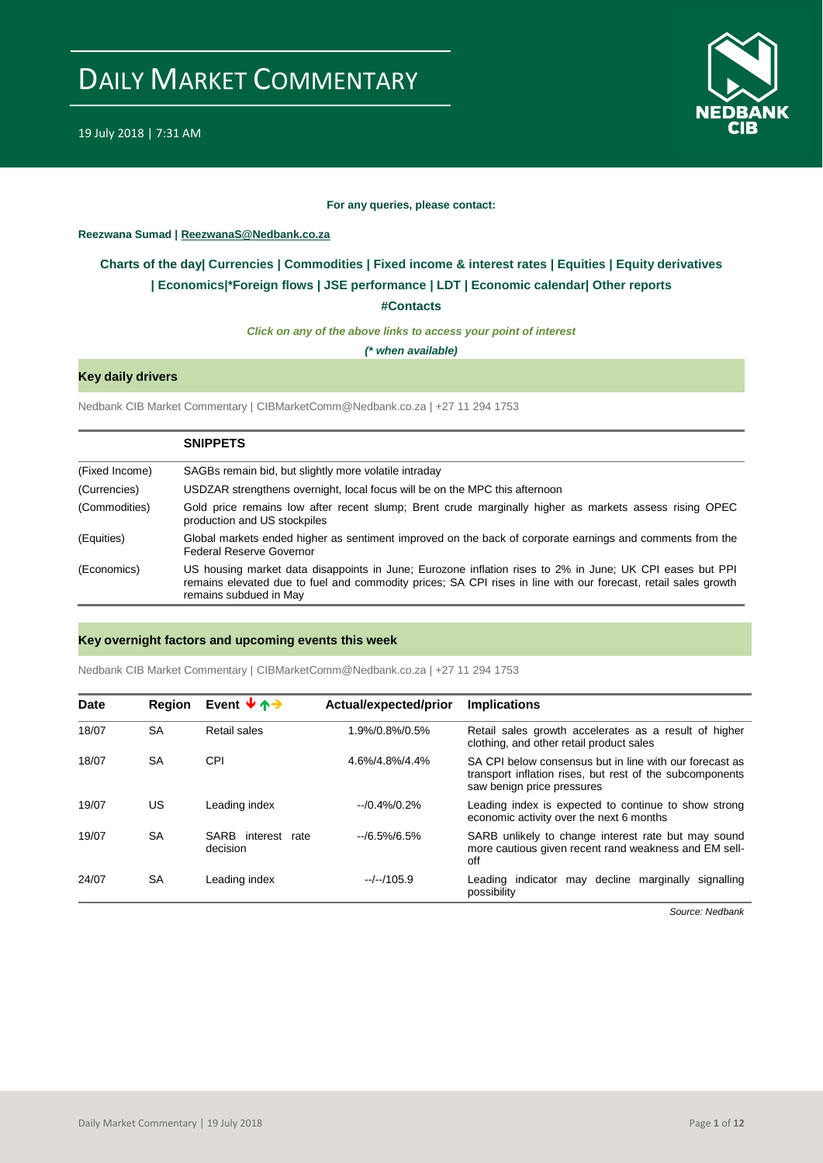

#### **For any queries, please contact:**

#### <span id="page-0-0"></span>**Reezwana Sumad | ReezwanaS@Nedbank.co.za**

### **Charts of the day| [Currencies](#page-2-0) [| Commodities](#page-3-0) | [Fixed income & interest rates](#page-1-0) | [Equities](#page-4-0) | Equity derivatives | [Economics|\\*](#page-7-0)Foreign flows [| JSE performance](#page-4-1) | [LDT](#page-5-0) | [Economic calendar|](#page-9-0) Other reports**

**[#Contacts](#page-10-0)**

*Click on any of the above links to access your point of interest*

*(\* when available)*

### **Key daily drivers**

Nedbank CIB Market Commentary | CIBMarketComm@Nedbank.co.za | +27 11 294 1753

|                | <b>SNIPPETS</b>                                                                                                                                                                                                                                      |
|----------------|------------------------------------------------------------------------------------------------------------------------------------------------------------------------------------------------------------------------------------------------------|
| (Fixed Income) | SAGBs remain bid, but slightly more volatile intraday                                                                                                                                                                                                |
| (Currencies)   | USDZAR strengthens overnight, local focus will be on the MPC this afternoon                                                                                                                                                                          |
| (Commodities)  | Gold price remains low after recent slump; Brent crude marginally higher as markets assess rising OPEC<br>production and US stockpiles                                                                                                               |
| (Equities)     | Global markets ended higher as sentiment improved on the back of corporate earnings and comments from the<br>Federal Reserve Governor                                                                                                                |
| (Economics)    | US housing market data disappoints in June: Eurozone inflation rises to 2% in June: UK CPI eases but PPI<br>remains elevated due to fuel and commodity prices; SA CPI rises in line with our forecast, retail sales growth<br>remains subdued in May |

#### **Key overnight factors and upcoming events this week**

Nedbank CIB Market Commentary | CIBMarketComm@Nedbank.co.za | +27 11 294 1753

| <b>Date</b> | <b>Region</b> | Event $\forall$ $\uparrow$ $\rightarrow$ | Actual/expected/prior | <b>Implications</b>                                                                                                                               |
|-------------|---------------|------------------------------------------|-----------------------|---------------------------------------------------------------------------------------------------------------------------------------------------|
| 18/07       | <b>SA</b>     | Retail sales                             | 1.9%/0.8%/0.5%        | Retail sales growth accelerates as a result of higher<br>clothing, and other retail product sales                                                 |
| 18/07       | <b>SA</b>     | CPI                                      | 4.6%/4.8%/4.4%        | SA CPI below consensus but in line with our forecast as<br>transport inflation rises, but rest of the subcomponents<br>saw benign price pressures |
| 19/07       | US            | Leading index                            | $-10.4\%/0.2\%$       | Leading index is expected to continue to show strong<br>economic activity over the next 6 months                                                  |
| 19/07       | <b>SA</b>     | SARB interest<br>rate<br>decision        | $-$ /6.5%/6.5%        | SARB unlikely to change interest rate but may sound<br>more cautious given recent rand weakness and EM sell-<br>off                               |
| 24/07       | <b>SA</b>     | Leading index                            | $-/-/105.9$           | Leading indicator may decline marginally<br>signalling<br>possibility                                                                             |

*Source: Nedbank*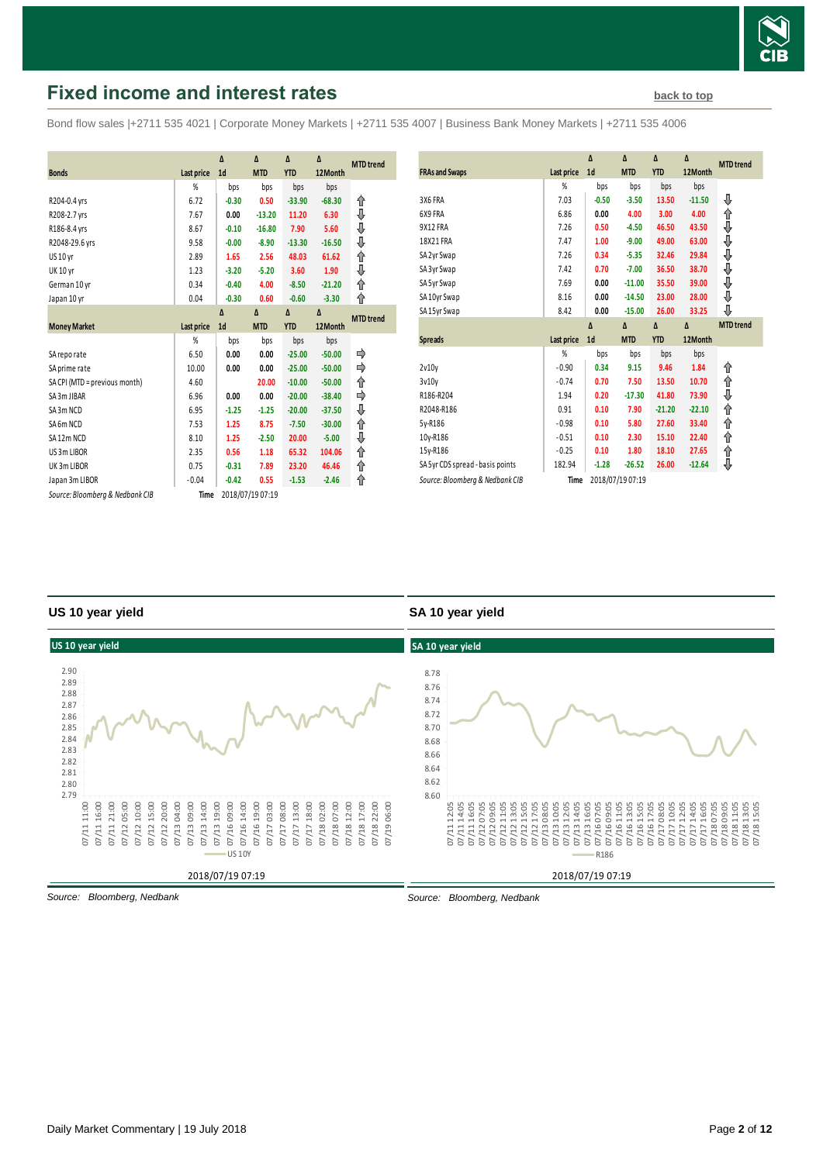

# <span id="page-1-0"></span>**Fixed income and interest rates [back to top](#page-0-0) back to top**

Bond flow sales |+2711 535 4021 | Corporate Money Markets | +2711 535 4007 | Business Bank Money Markets | +2711 535 4006

|                                  |                   | Δ              | Δ                | Δ          | Δ        |                  |
|----------------------------------|-------------------|----------------|------------------|------------|----------|------------------|
| <b>Bonds</b>                     | <b>Last price</b> | 1 <sub>d</sub> | <b>MTD</b>       | <b>YTD</b> | 12Month  | <b>MTD</b> trend |
|                                  | %                 | bps            | bps              | bps        | bps      |                  |
| R204-0.4 yrs                     | 6.72              | $-0.30$        | 0.50             | $-33.90$   | $-68.30$ | ⇑                |
| R208-2.7 yrs                     | 7.67              | 0.00           | $-13.20$         | 11.20      | 6.30     | ⇓                |
| R186-8.4 yrs                     | 8.67              | $-0.10$        | $-16.80$         | 7.90       | 5.60     | ⇓                |
| R2048-29.6 yrs                   | 9.58              | $-0.00$        | $-8.90$          | $-13.30$   | $-16.50$ | ⇓                |
| <b>US 10 yr</b>                  | 2.89              | 1.65           | 2.56             | 48.03      | 61.62    | ⇑                |
| <b>UK 10 yr</b>                  | 1.23              | $-3.20$        | $-5.20$          | 3.60       | 1.90     | ⇓                |
| German 10 yr                     | 0.34              | $-0.40$        | 4.00             | $-8.50$    | $-21.20$ | ↑                |
| Japan 10 yr                      | 0.04              | $-0.30$        | 0.60             | $-0.60$    | $-3.30$  | ⇑                |
|                                  |                   | Δ              | Δ                | Δ          | Δ        | <b>MTD</b> trend |
| <b>Money Market</b>              | <b>Last price</b> | 1 <sub>d</sub> | <b>MTD</b>       | <b>YTD</b> | 12Month  |                  |
|                                  | %                 | bps            | bps              | bps        | bps      |                  |
| SA reporate                      | 6.50              | 0.00           | 0.00             | $-25.00$   | $-50.00$ |                  |
| SA prime rate                    | 10.00             | 0.00           | 0.00             | $-25.00$   | $-50.00$ |                  |
| SA CPI (MTD = previous month)    | 4.60              |                | 20.00            | $-10.00$   | $-50.00$ | ↑                |
| SA 3m JIBAR                      | 6.96              | 0.00           | 0.00             | $-20.00$   | $-38.40$ |                  |
| SA3m NCD                         | 6.95              | $-1.25$        | $-1.25$          | $-20.00$   | $-37.50$ | ⇓                |
| SA <sub>6</sub> m <sub>NCD</sub> | 7.53              | 1.25           | 8.75             | $-7.50$    | $-30.00$ | ⇑                |
| SA12m NCD                        | 8.10              | 1.25           | $-2.50$          | 20.00      | $-5.00$  | ⇓                |
| US 3m LIBOR                      | 2.35              | 0.56           | 1.18             | 65.32      | 104.06   | ↟                |
| UK3mLIBOR                        | 0.75              | $-0.31$        | 7.89             | 23.20      | 46.46    | ↟                |
| Japan 3m LIBOR                   | $-0.04$           | $-0.42$        | 0.55             | $-1.53$    | $-2.46$  | ⇑                |
| Source: Bloomberg & Nedbank CIB  | Time              |                | 2018/07/19 07:19 |            |          |                  |

| <b>FRAs and Swaps</b>            | Last price | Δ<br>1 <sub>d</sub> | Δ<br><b>MTD</b> | Δ<br><b>YTD</b> | Δ<br>12Month | <b>MTD</b> trend |
|----------------------------------|------------|---------------------|-----------------|-----------------|--------------|------------------|
|                                  | %          | bps                 | bps             | bps             | bps          |                  |
| 3X6 FRA                          | 7.03       | $-0.50$             | $-3.50$         | 13.50           | $-11.50$     | ⊕                |
| 6X9 FRA                          | 6.86       | 0.00                | 4.00            | 3.00            | 4.00         | ⇑                |
| 9X12 FRA                         | 7.26       | 0.50                | $-4.50$         | 46.50           | 43.50        | ⇓                |
| 18X21 FRA                        | 7.47       | 1.00                | $-9.00$         | 49.00           | 63.00        | ♦                |
| SA 2yr Swap                      | 7.26       | 0.34                | $-5.35$         | 32.46           | 29.84        | €€€€             |
| SA 3yr Swap                      | 7.42       | 0.70                | $-7.00$         | 36.50           | 38.70        |                  |
| SA 5yr Swap                      | 7.69       | 0.00                | $-11.00$        | 35.50           | 39.00        |                  |
| SA 10yr Swap                     | 8.16       | 0.00                | $-14.50$        | 23.00           | 28.00        |                  |
| SA 15yr Swap                     | 8.42       | 0.00                | $-15.00$        | 26.00           | 33.25        | ⊕                |
|                                  |            |                     |                 |                 |              |                  |
|                                  |            | Δ                   | $\Delta$        | Δ               | Δ            | <b>MTD</b> trend |
| <b>Spreads</b>                   | Last price | 1 <sub>d</sub>      | <b>MTD</b>      | <b>YTD</b>      | 12Month      |                  |
|                                  | %          | bps                 | bps             | bps             | bps          |                  |
| 2v10v                            | $-0.90$    | 0.34                | 9.15            | 9.46            | 1.84         | ⇑                |
| 3v10v                            | $-0.74$    | 0.70                | 7.50            | 13.50           | 10.70        | ⇑                |
| R186-R204                        | 1.94       | 0.20                | $-17.30$        | 41.80           | 73.90        | ⇓                |
| R2048-R186                       | 0.91       | 0.10                | 7.90            | $-21.20$        | $-22.10$     | ⇑                |
| 5y-R186                          | $-0.98$    | 0.10                | 5.80            | 27.60           | 33.40        |                  |
| 10y-R186                         | $-0.51$    | 0.10                | 2.30            | 15.10           | 22.40        | ⇑                |
| 15y-R186                         | $-0.25$    | 0.10                | 1.80            | 18.10           | 27.65        | ⇑<br>⇑           |
| SA 5yr CDS spread - basis points | 182.94     | $-1.28$             | $-26.52$        | 26.00           | $-12.64$     | ⊕                |

#### **US 10 year yield**

#### **SA 10 year yield**



*Source: Bloomberg, Nedbank*

*Source: Bloomberg, Nedbank*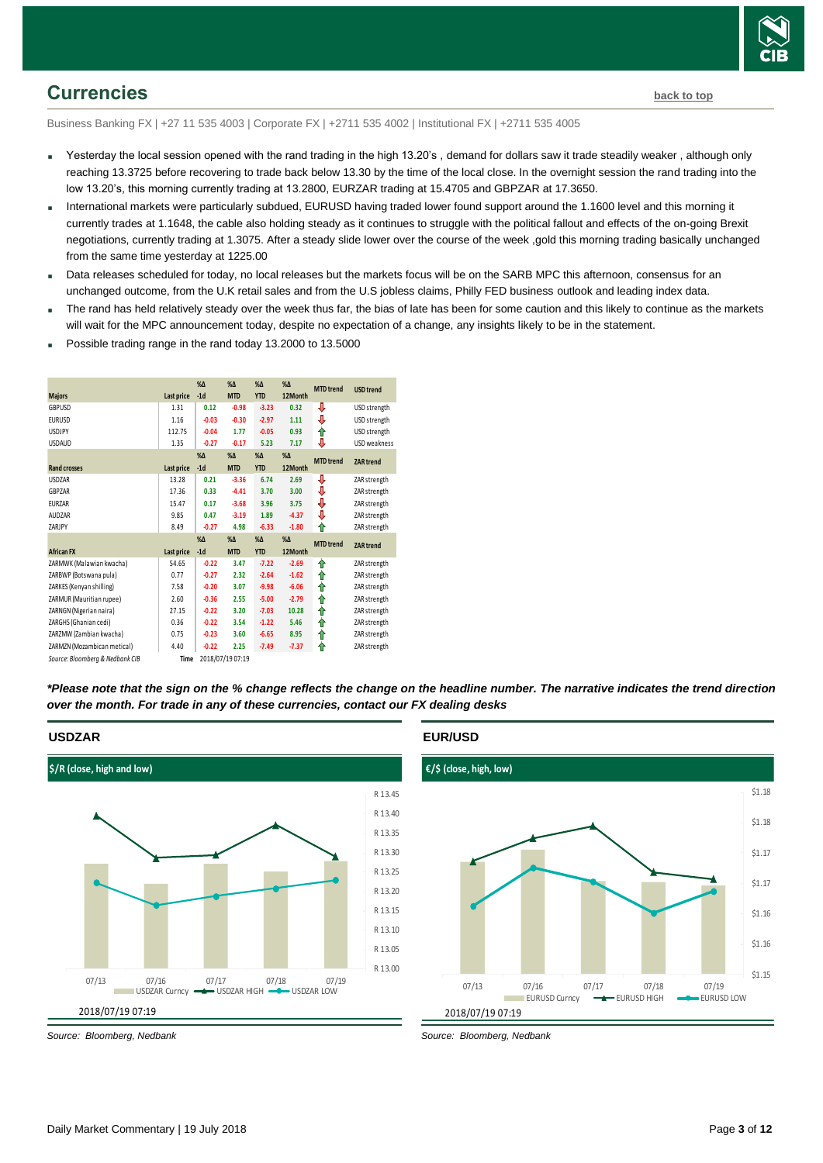

### <span id="page-2-0"></span>**Currencies [back to top](#page-0-0)**

Business Banking FX | +27 11 535 4003 | Corporate FX | +2711 535 4002 | Institutional FX | +2711 535 4005

- Yesterday the local session opened with the rand trading in the high 13.20's , demand for dollars saw it trade steadily weaker , although only reaching 13.3725 before recovering to trade back below 13.30 by the time of the local close. In the overnight session the rand trading into the low 13.20's, this morning currently trading at 13.2800, EURZAR trading at 15.4705 and GBPZAR at 17.3650.
- International markets were particularly subdued, EURUSD having traded lower found support around the 1.1600 level and this morning it currently trades at 1.1648, the cable also holding steady as it continues to struggle with the political fallout and effects of the on-going Brexit negotiations, currently trading at 1.3075. After a steady slide lower over the course of the week ,gold this morning trading basically unchanged from the same time yesterday at 1225.00
- Data releases scheduled for today, no local releases but the markets focus will be on the SARB MPC this afternoon, consensus for an unchanged outcome, from the U.K retail sales and from the U.S jobless claims, Philly FED business outlook and leading index data.
- The rand has held relatively steady over the week thus far, the bias of late has been for some caution and this likely to continue as the markets will wait for the MPC announcement today, despite no expectation of a change, any insights likely to be in the statement.
- Possible trading range in the rand today 13.2000 to 13.5000

|                                 |            | $% \Delta$   | $%$ $\Delta$     | $%$ $\Delta$ | $% \Delta$   | <b>MTD</b> trend | <b>USD</b> trend    |
|---------------------------------|------------|--------------|------------------|--------------|--------------|------------------|---------------------|
| <b>Majors</b>                   | Last price | $-1d$        | <b>MTD</b>       | <b>YTD</b>   | 12Month      |                  |                     |
| GBPUSD                          | 1.31       | 0.12         | $-0.98$          | $-3.23$      | 0.32         | ⇩                | USD strength        |
| <b>EURUSD</b>                   | 1.16       | $-0.03$      | $-0.30$          | $-2.97$      | 1.11         | ⇩                | USD strength        |
| <b>USDJPY</b>                   | 112.75     | $-0.04$      | 1.77             | $-0.05$      | 0.93         | ⇑                | USD strength        |
| <b>USDAUD</b>                   | 1.35       | $-0.27$      | $-0.17$          | 5.23         | 7.17         | ⇩                | <b>USD</b> weakness |
|                                 |            | $% \Delta$   | $\%$ $\Delta$    | $% \Delta$   | $%$ $\Delta$ | <b>MTD</b> trend | <b>ZAR</b> trend    |
| <b>Rand crosses</b>             | Last price | $-1d$        | <b>MTD</b>       | <b>YTD</b>   | 12Month      |                  |                     |
| <b>USDZAR</b>                   | 13.28      | 0.21         | $-3.36$          | 6.74         | 2.69         | ⊕                | ZAR strength        |
| GBPZAR                          | 17.36      | 0.33         | $-4.41$          | 3.70         | 3.00         | ⊕                | ZAR strength        |
| <b>EURZAR</b>                   | 15.47      | 0.17         | $-3.68$          | 3.96         | 3.75         | ⇓                | ZAR strength        |
| AUDZAR                          | 9.85       | 0.47         | $-3.19$          | 1.89         | $-4.37$      | ⇩                | ZAR strength        |
| ZARJPY                          | 8.49       | $-0.27$      | 4.98             | $-6.33$      | $-1.80$      | ⇑                | ZAR strength        |
|                                 |            | $%$ $\Delta$ | $\%$ $\Delta$    | $%$ $\Delta$ | $%$ $\Delta$ | <b>MTD</b> trend | <b>ZAR</b> trend    |
| <b>African FX</b>               | Last price | $-1d$        | <b>MTD</b>       | <b>YTD</b>   | 12Month      |                  |                     |
| ZARMWK (Malawian kwacha)        | 54.65      | $-0.22$      | 3.47             | $-7.22$      | $-2.69$      | ↟                | ZAR strength        |
| ZARBWP (Botswana pula)          | 0.77       | $-0.27$      | 2.32             | $-2.64$      | $-1.62$      | ⇑                | ZAR strength        |
| ZARKES (Kenyan shilling)        | 7.58       | $-0.20$      | 3.07             | $-9.98$      | $-6.06$      | ⇑                | ZAR strength        |
| ZARMUR (Mauritian rupee)        | 2.60       | $-0.36$      | 2.55             | $-5.00$      | $-2.79$      | ⇑                | ZAR strength        |
| ZARNGN (Nigerian naira)         | 27.15      | $-0.22$      | 3.20             | $-7.03$      | 10.28        | ↟                | ZAR strength        |
| ZARGHS (Ghanian cedi)           | 0.36       | $-0.22$      | 3.54             | $-1.22$      | 5.46         | ↟                | ZAR strength        |
| ZARZMW (Zambian kwacha)         | 0.75       | $-0.23$      | 3.60             | $-6.65$      | 8.95         | ↟                | ZAR strength        |
| ZARMZN (Mozambican metical)     | 4.40       | $-0.22$      | 2.25             | $-7.49$      | $-7.37$      | ⇑                | ZAR strength        |
| Source: Bloomberg & Nedbank CIB | Time       |              | 2018/07/19 07:19 |              |              |                  |                     |

*\*Please note that the sign on the % change reflects the change on the headline number. The narrative indicates the trend direction over the month. For trade in any of these currencies, contact our FX dealing desks*

### **USDZAR**



*Source: Bloomberg, Nedbank*

#### **EUR/USD**



*Source: Bloomberg, Nedbank*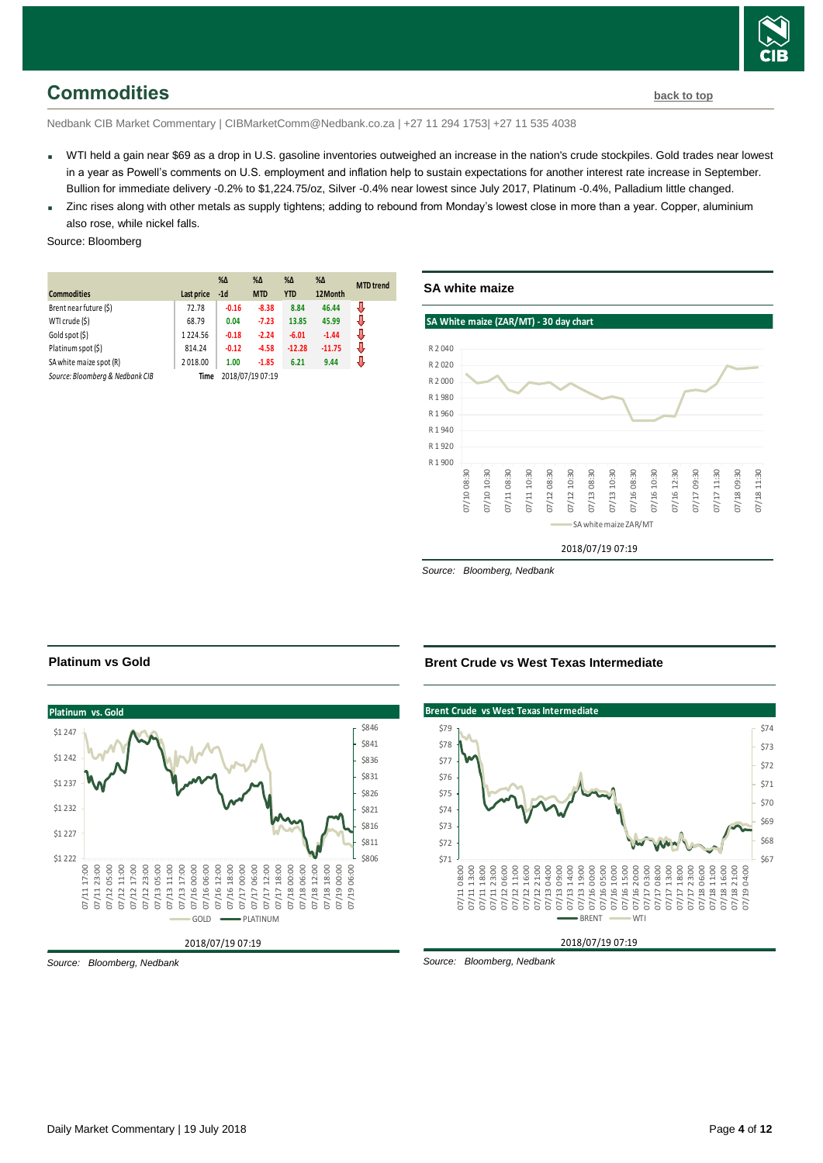

## <span id="page-3-0"></span>**Commodities [back to top](#page-0-0)**

Nedbank CIB Market Commentary | CIBMarketComm@Nedbank.co.za | +27 11 294 1753| +27 11 535 4038

- WTI held a gain near \$69 as a drop in U.S. gasoline inventories outweighed an increase in the nation's crude stockpiles. Gold trades near lowest in a year as Powell's comments on U.S. employment and inflation help to sustain expectations for another interest rate increase in September. Bullion for immediate delivery -0.2% to \$1,224.75/oz, Silver -0.4% near lowest since July 2017, Platinum -0.4%, Palladium little changed.
- Zinc rises along with other metals as supply tightens; adding to rebound from Monday's lowest close in more than a year. Copper, aluminium also rose, while nickel falls.

#### Source: Bloomberg

|                                 |            | $% \Delta$ | $% \Delta$       | $% \Delta$ | $\% \Delta$ | <b>MTD</b> trend |
|---------------------------------|------------|------------|------------------|------------|-------------|------------------|
| <b>Commodities</b>              | Last price | $-1d$      | <b>MTD</b>       | <b>YTD</b> | 12Month     |                  |
| Brent near future (\$)          | 72.78      | $-0.16$    | $-8.38$          | 8.84       | 46.44       | J                |
| WTI crude (\$)                  | 68.79      | 0.04       | $-7.23$          | 13.85      | 45.99       | J                |
| Gold spot (\$)                  | 1224.56    | $-0.18$    | $-2.24$          | $-6.01$    | $-1.44$     | J                |
| Platinum spot (\$)              | 814.24     | $-0.12$    | $-4.58$          | $-12.28$   | $-11.75$    | J                |
| SA white maize spot (R)         | 2018.00    | 1.00       | $-1.85$          | 6.21       | 9.44        | J                |
| Source: Bloomberg & Nedbank CIB | Time       |            | 2018/07/19 07:19 |            |             |                  |



*Source: Bloomberg, Nedbank*

#### **Platinum vs. Gold** 2018/07/19 07:19 \$806 \$811 \$816 \$821 \$826 \$831 \$836 \$841 \$846  $$1 222$ \$1 227 \$1 232 \$1 237 \$1 242 \$1 247 07/11 17:00 07/11 23:00 07/12 05:00 07/12 11:00 07/12 17:00 07/12 23:00 07/13 05:00 07/13 11:00 07/13 17:00 07/16 00:00 07/16 06:00 07/16 12:00 07/16 18:00 07/17 00:00 07/17 06:00 07/17 12:00 07/17 18:00 07/18 00:00 07/18 06:00 07/18 12:00 07/18 18:00 07/19 00:00 07/19 06:00 GOLD **-PLATINUM**

**Platinum vs Gold**

*Source: Bloomberg, Nedbank*

#### **Brent Crude vs West Texas Intermediate**



*Source: Bloomberg, Nedbank*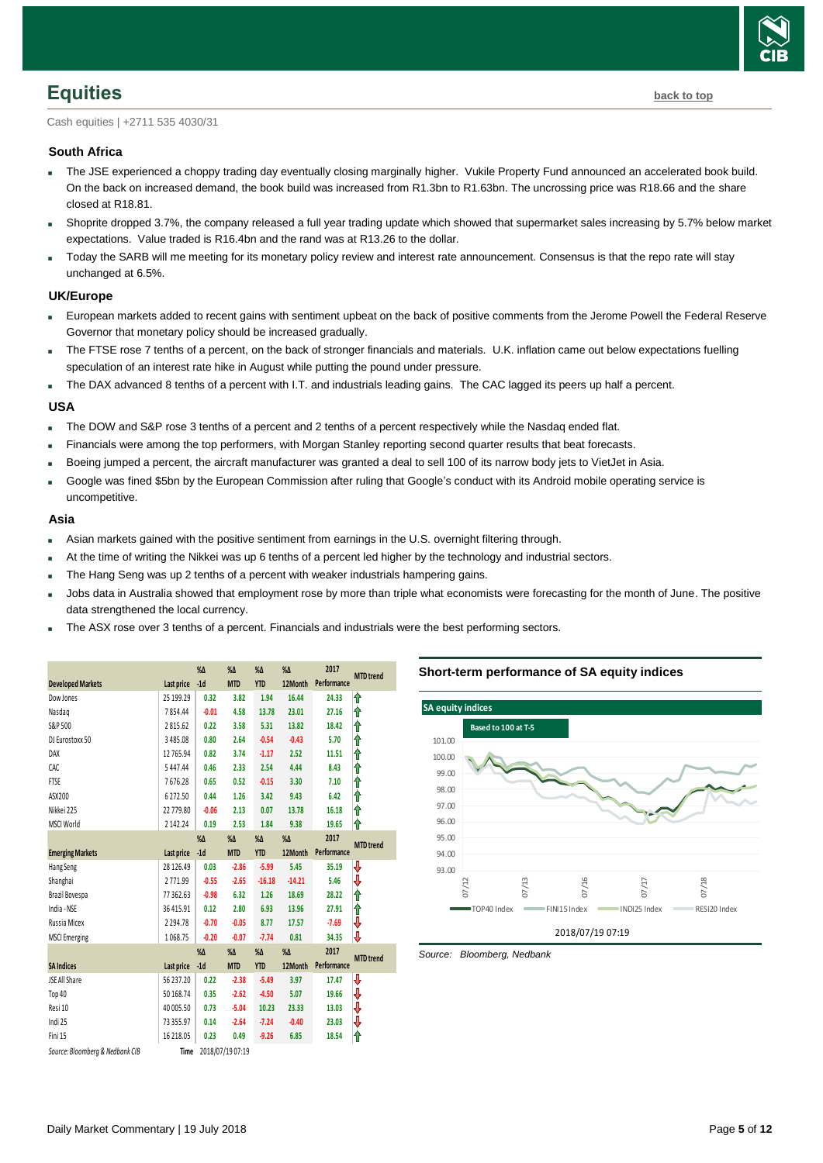

# <span id="page-4-0"></span>**Equities [back to top](#page-0-0)**

Cash equities | +2711 535 4030/31

#### **South Africa**

- The JSE experienced a choppy trading day eventually closing marginally higher. Vukile Property Fund announced an accelerated book build. On the back on increased demand, the book build was increased from R1.3bn to R1.63bn. The uncrossing price was R18.66 and the share closed at R18.81.
- Shoprite dropped 3.7%, the company released a full year trading update which showed that supermarket sales increasing by 5.7% below market expectations. Value traded is R16.4bn and the rand was at R13.26 to the dollar.
- Today the SARB will me meeting for its monetary policy review and interest rate announcement. Consensus is that the repo rate will stay unchanged at 6.5%.

#### **UK/Europe**

- European markets added to recent gains with sentiment upbeat on the back of positive comments from the Jerome Powell the Federal Reserve Governor that monetary policy should be increased gradually.
- The FTSE rose 7 tenths of a percent, on the back of stronger financials and materials. U.K. inflation came out below expectations fuelling speculation of an interest rate hike in August while putting the pound under pressure.
- The DAX advanced 8 tenths of a percent with I.T. and industrials leading gains. The CAC lagged its peers up half a percent.

#### **USA**

- The DOW and S&P rose 3 tenths of a percent and 2 tenths of a percent respectively while the Nasdaq ended flat.
- Financials were among the top performers, with Morgan Stanley reporting second quarter results that beat forecasts.
- Boeing jumped a percent, the aircraft manufacturer was granted a deal to sell 100 of its narrow body jets to VietJet in Asia.
- Google was fined \$5bn by the European Commission after ruling that Google's conduct with its Android mobile operating service is uncompetitive.

#### **Asia**

- Asian markets gained with the positive sentiment from earnings in the U.S. overnight filtering through.
- At the time of writing the Nikkei was up 6 tenths of a percent led higher by the technology and industrial sectors.
- The Hang Seng was up 2 tenths of a percent with weaker industrials hampering gains.
- Jobs data in Australia showed that employment rose by more than triple what economists were forecasting for the month of June. The positive data strengthened the local currency.
- The ASX rose over 3 tenths of a percent. Financials and industrials were the best performing sectors.

|                                 |               | $% \Delta$    | $% \Delta$       | $% \Delta$ | $% \Delta$ | 2017        | <b>MTD</b> trend |
|---------------------------------|---------------|---------------|------------------|------------|------------|-------------|------------------|
| <b>Developed Markets</b>        | Last price    | $-1d$         | <b>MTD</b>       | <b>YTD</b> | 12Month    | Performance |                  |
| Dow Jones                       | 25 199.29     | 0.32          | 3.82             | 1.94       | 16.44      | 24.33       | ⇑                |
| Nasdag                          | 7854.44       | $-0.01$       | 4.58             | 13.78      | 23.01      | 27.16       | ⋔                |
| S&P 500                         | 2815.62       | 0.22          | 3.58             | 5.31       | 13.82      | 18.42       | ⇑                |
| DJ Eurostoxx 50                 | 3485.08       | 0.80          | 2.64             | $-0.54$    | $-0.43$    | 5.70        | ⇑                |
| DAX                             | 12765.94      | 0.82          | 3.74             | $-1.17$    | 2.52       | 11.51       | ⇑                |
| CAC                             | 5447.44       | 0.46          | 2.33             | 2.54       | 4.44       | 8.43        | ⇑                |
| <b>FTSE</b>                     | 7676.28       | 0.65          | 0.52             | $-0.15$    | 3.30       | 7.10        | ⇑                |
| ASX200                          | 6272.50       | 0.44          | 1.26             | 3.42       | 9.43       | 6.42        | ⇑                |
| Nikkei 225                      | 22 779.80     | $-0.06$       | 2.13             | 0.07       | 13.78      | 16.18       | ⇑                |
| <b>MSCI World</b>               | 2142.24       | 0.19          | 2.53             | 1.84       | 9.38       | 19.65       | ⋔                |
|                                 |               | $% \Delta$    | $% \Delta$       | $% \Delta$ | $% \Delta$ | 2017        | <b>MTD</b> trend |
| <b>Emerging Markets</b>         | Last price    | $-1d$         | <b>MTD</b>       | <b>YTD</b> | 12Month    | Performance |                  |
| Hang Seng                       | 28 126.49     | 0.03          | $-2.86$          | $-5.99$    | 5.45       | 35.19       | ₩                |
| Shanghai                        | 2771.99       | $-0.55$       | $-2.65$          | $-16.18$   | $-14.21$   | 5.46        | ₩                |
| Brazil Bovespa                  | 77362.63      | $-0.98$       | 6.32             | 1.26       | 18.69      | 28.22       | ⇑                |
| India - NSE                     | 36 415.91     | 0.12          | 2.80             | 6.93       | 13.96      | 27.91       | ⇑                |
| Russia Micex                    | 2 2 9 4 . 7 8 | $-0.70$       | $-0.05$          | 8.77       | 17.57      | $-7.69$     | ⇓                |
| <b>MSCI</b> Emerging            | 1068.75       | $-0.20$       | $-0.07$          | $-7.74$    | 0.81       | 34.35       | ⇓                |
|                                 |               | $\%$ $\Delta$ | $% \Delta$       | $% \Delta$ | $% \Delta$ | 2017        |                  |
| <b>SA Indices</b>               | Last price    | $-1d$         | <b>MTD</b>       | <b>YTD</b> | 12Month    | Performance | <b>MTD</b> trend |
| JSE All Share                   | 56 237.20     | 0.22          | $-2.38$          | $-5.49$    | 3.97       | 17.47       | ⇩                |
| Top 40                          | 50 168.74     | 0.35          | $-2.62$          | $-4.50$    | 5.07       | 19.66       | ₩                |
| Resi 10                         | 40 005.50     | 0.73          | $-5.04$          | 10.23      | 23.33      | 13.03       | ⇩                |
| Indi 25                         | 73355.97      | 0.14          | $-2.64$          | $-7.24$    | $-0.40$    | 23.03       | ₩                |
| Fini 15                         | 16 218.05     | 0.23          | 0.49             | $-9.26$    | 6.85       | 18.54       | ⋔                |
| Source: Bloomberg & Nedbank CIB | Time          |               | 2018/07/19 07:19 |            |            |             |                  |

#### **Short-term performance of SA equity indices**



<span id="page-4-1"></span>*Source: Bloomberg, Nedbank*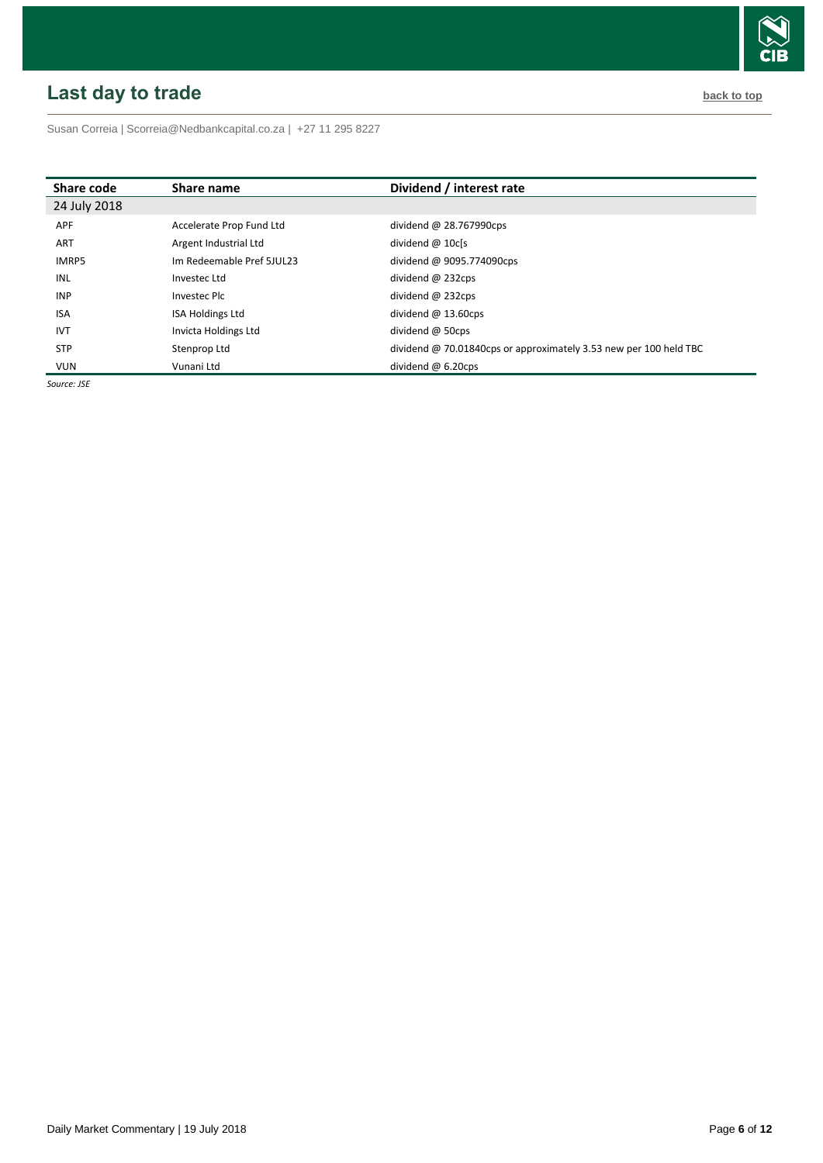# <span id="page-5-0"></span>**Last day to trade back to the contract of the contract of the contract of the contract of the contract of the contract of the contract of the contract of the contract of the contract of the contract of the contract of t**



Susan Correia [| Scorreia@Nedbankcapital.co.za](mailto:Scorreia@Nedbankcapital.co.za) | +27 11 295 8227

| Share code   | Share name                | Dividend / interest rate                                          |
|--------------|---------------------------|-------------------------------------------------------------------|
| 24 July 2018 |                           |                                                                   |
| <b>APF</b>   | Accelerate Prop Fund Ltd  | dividend $@$ 28.767990cps                                         |
| <b>ART</b>   | Argent Industrial Ltd     | dividend $@$ 10 $c$ [s                                            |
| <b>IMRP5</b> | Im Redeemable Pref 5JUL23 | dividend @ 9095.774090cps                                         |
| INL          | Investec Ltd              | dividend $@$ 232cps                                               |
| <b>INP</b>   | Investec Plc              | dividend $@$ 232cps                                               |
| <b>ISA</b>   | <b>ISA Holdings Ltd</b>   | dividend $@$ 13.60cps                                             |
| <b>IVT</b>   | Invicta Holdings Ltd      | dividend $@$ 50cps                                                |
| <b>STP</b>   | Stenprop Ltd              | dividend @ 70.01840cps or approximately 3.53 new per 100 held TBC |
| <b>VUN</b>   | Vunani Ltd                | dividend $@6.20$ cps                                              |

*Source: JSE*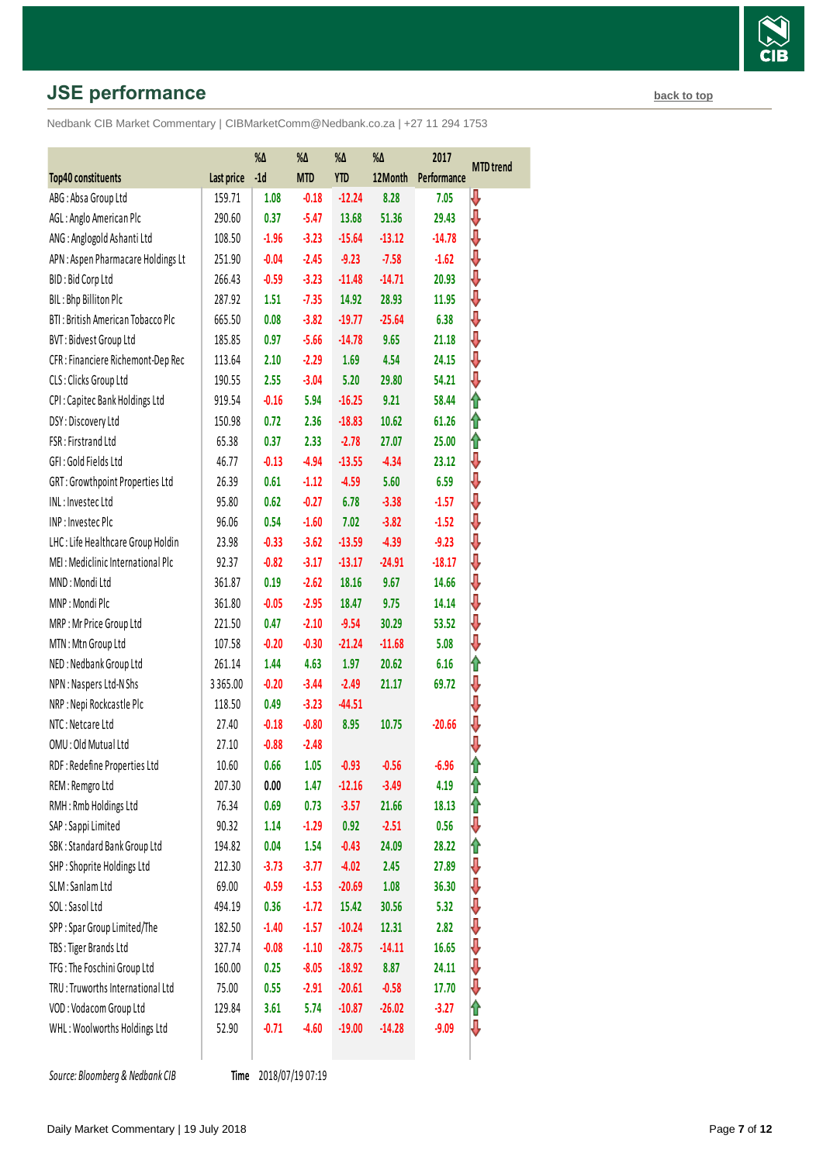# **JSE performance [back to top](#page-0-0) back to top**

Nedbank CIB Market Commentary | CIBMarketComm@Nedbank.co.za | +27 11 294 1753

|                                    |            | $\%\Delta$ | $\% \Delta$ | $\%\Delta$ | $\% \Delta$ | 2017        |                  |
|------------------------------------|------------|------------|-------------|------------|-------------|-------------|------------------|
| Top40 constituents                 | Last price | $-1d$      | <b>MTD</b>  | <b>YTD</b> | 12Month     | Performance | <b>MTD</b> trend |
| ABG: Absa Group Ltd                | 159.71     | 1.08       | $-0.18$     | $-12.24$   | 8.28        | 7.05        | ₩                |
| AGL: Anglo American Plc            | 290.60     | 0.37       | $-5.47$     | 13.68      | 51.36       | 29.43       | ⇩                |
| ANG: Anglogold Ashanti Ltd         | 108.50     | $-1.96$    | $-3.23$     | $-15.64$   | $-13.12$    | $-14.78$    | ⇩                |
| APN: Aspen Pharmacare Holdings Lt  | 251.90     | $-0.04$    | $-2.45$     | $-9.23$    | $-7.58$     | $-1.62$     | ⇩                |
| BID: Bid Corp Ltd                  | 266.43     | $-0.59$    | $-3.23$     | $-11.48$   | $-14.71$    | 20.93       | ⇩                |
| BIL: Bhp Billiton Plc              | 287.92     | 1.51       | $-7.35$     | 14.92      | 28.93       | 11.95       | ⇓                |
| BTI: British American Tobacco Plc  | 665.50     | 0.08       | $-3.82$     | $-19.77$   | $-25.64$    | 6.38        | ⇓                |
| BVT: Bidvest Group Ltd             | 185.85     | 0.97       | $-5.66$     | $-14.78$   | 9.65        | 21.18       | ⇩                |
| CFR : Financiere Richemont-Dep Rec | 113.64     | 2.10       | $-2.29$     | 1.69       | 4.54        | 24.15       | ⇓                |
| CLS: Clicks Group Ltd              | 190.55     | 2.55       | $-3.04$     | 5.20       | 29.80       | 54.21       | ⇩                |
| CPI: Capitec Bank Holdings Ltd     | 919.54     | $-0.16$    | 5.94        | $-16.25$   | 9.21        | 58.44       | ⇑                |
| DSY: Discovery Ltd                 | 150.98     | 0.72       | 2.36        | $-18.83$   | 10.62       | 61.26       | ⇑                |
| FSR: Firstrand Ltd                 | 65.38      | 0.37       | 2.33        | $-2.78$    | 27.07       | 25.00       | ⇑                |
| GFI: Gold Fields Ltd               | 46.77      | $-0.13$    | $-4.94$     | $-13.55$   | $-4.34$     | 23.12       | ⇩                |
| GRT: Growthpoint Properties Ltd    | 26.39      | 0.61       | $-1.12$     | $-4.59$    | 5.60        | 6.59        | ⇓                |
| INL: Investec Ltd                  | 95.80      | 0.62       | $-0.27$     | 6.78       | $-3.38$     | $-1.57$     | ⇓                |
| INP: Investec Plc                  | 96.06      | 0.54       | $-1.60$     | 7.02       | $-3.82$     | $-1.52$     | ⇩                |
| LHC: Life Healthcare Group Holdin  | 23.98      | $-0.33$    | $-3.62$     | $-13.59$   | $-4.39$     | $-9.23$     | ⇩                |
| MEI: Mediclinic International Plc  | 92.37      | $-0.82$    | $-3.17$     | $-13.17$   | $-24.91$    | $-18.17$    | ₩                |
| MND: Mondi Ltd                     | 361.87     | 0.19       | $-2.62$     | 18.16      | 9.67        | 14.66       | ⇩                |
| MNP: Mondi Plc                     | 361.80     | $-0.05$    | $-2.95$     | 18.47      | 9.75        | 14.14       | ₩                |
| MRP: Mr Price Group Ltd            | 221.50     | 0.47       | $-2.10$     | $-9.54$    | 30.29       | 53.52       | ⇩                |
| MTN: Mtn Group Ltd                 | 107.58     | $-0.20$    | $-0.30$     | $-21.24$   | $-11.68$    | 5.08        | ⇩                |
| NED: Nedbank Group Ltd             | 261.14     | 1.44       | 4.63        | 1.97       | 20.62       | 6.16        | ⇑                |
| NPN: Naspers Ltd-N Shs             | 3365.00    | $-0.20$    | $-3.44$     | $-2.49$    | 21.17       | 69.72       | ⇓                |
| NRP: Nepi Rockcastle Plc           | 118.50     | 0.49       | $-3.23$     | $-44.51$   |             |             | ⇩                |
| NTC: Netcare Ltd                   | 27.40      | $-0.18$    | $-0.80$     | 8.95       | 10.75       | $-20.66$    | ⇓                |
| OMU: Old Mutual Ltd                | 27.10      | $-0.88$    | $-2.48$     |            |             |             | ⇩                |
| RDF: Redefine Properties Ltd       | 10.60      | 0.66       | 1.05        | $-0.93$    | $-0.56$     | -6.96       | 1                |
| REM: Remgro Ltd                    | 207.30     | 0.00       | 1.47        | $-12.16$   | $-3.49$     | 4.19        | ⇑                |
| RMH: Rmb Holdings Ltd              | 76.34      | 0.69       | 0.73        | $-3.57$    | 21.66       | 18.13       | ⇑                |
| SAP : Sappi Limited                | 90.32      | 1.14       | $-1.29$     | 0.92       | $-2.51$     | 0.56        | ⇩                |
| SBK: Standard Bank Group Ltd       | 194.82     | 0.04       | 1.54        | $-0.43$    | 24.09       | 28.22       | ⇑                |
| SHP: Shoprite Holdings Ltd         | 212.30     | $-3.73$    | $-3.77$     | $-4.02$    | 2.45        | 27.89       | ⇩                |
| SLM: Sanlam Ltd                    | 69.00      | $-0.59$    | $-1.53$     | $-20.69$   | 1.08        | 36.30       | ⇩                |
| SOL: Sasol Ltd                     | 494.19     | 0.36       | $-1.72$     | 15.42      | 30.56       | 5.32        | ⇓                |
| SPP: Spar Group Limited/The        | 182.50     | $-1.40$    | $-1.57$     | $-10.24$   | 12.31       | 2.82        | ₩                |
| TBS: Tiger Brands Ltd              | 327.74     | $-0.08$    | $-1.10$     | $-28.75$   | $-14.11$    | 16.65       | ⇩                |
| TFG: The Foschini Group Ltd        | 160.00     | 0.25       | $-8.05$     | $-18.92$   | 8.87        | 24.11       | ⇩                |
| TRU: Truworths International Ltd   | 75.00      | 0.55       | $-2.91$     | $-20.61$   | $-0.58$     | 17.70       | ⇩                |
| VOD: Vodacom Group Ltd             | 129.84     | 3.61       | 5.74        | $-10.87$   | $-26.02$    | $-3.27$     | ⇑                |
| WHL: Woolworths Holdings Ltd       | 52.90      | $-0.71$    | $-4.60$     | $-19.00$   | $-14.28$    | $-9.09$     | ⇩                |
|                                    |            |            |             |            |             |             |                  |

**Source: Bloomberg & Nedbank CIB** 

Time 2018/07/19 07:19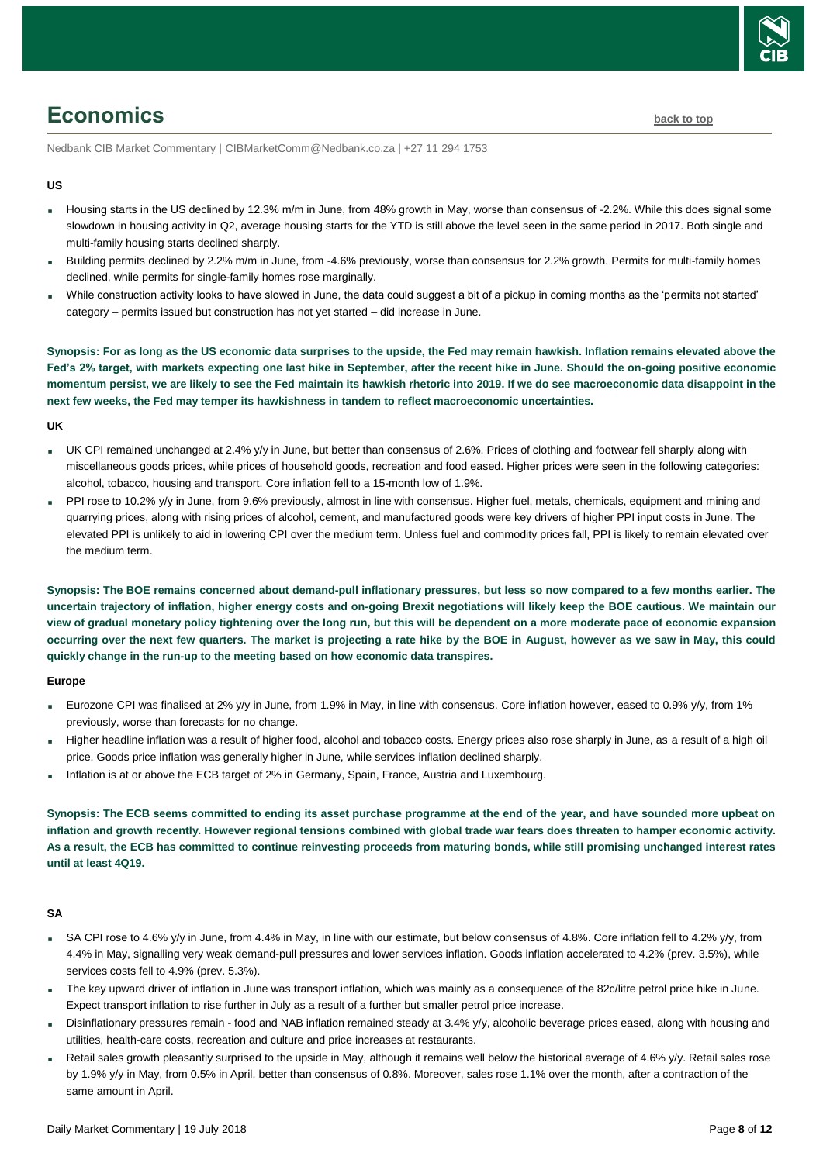

# <span id="page-7-0"></span>**Economics [back to top](#page-0-0)**

Nedbank CIB Market Commentary | CIBMarketComm@Nedbank.co.za | +27 11 294 1753

#### **US**

- Housing starts in the US declined by 12.3% m/m in June, from 48% growth in May, worse than consensus of -2.2%. While this does signal some slowdown in housing activity in Q2, average housing starts for the YTD is still above the level seen in the same period in 2017. Both single and multi-family housing starts declined sharply.
- Building permits declined by 2.2% m/m in June, from -4.6% previously, worse than consensus for 2.2% growth. Permits for multi-family homes declined, while permits for single-family homes rose marginally.
- While construction activity looks to have slowed in June, the data could suggest a bit of a pickup in coming months as the 'permits not started' category – permits issued but construction has not yet started – did increase in June.

**Synopsis: For as long as the US economic data surprises to the upside, the Fed may remain hawkish. Inflation remains elevated above the Fed's 2% target, with markets expecting one last hike in September, after the recent hike in June. Should the on-going positive economic momentum persist, we are likely to see the Fed maintain its hawkish rhetoric into 2019. If we do see macroeconomic data disappoint in the next few weeks, the Fed may temper its hawkishness in tandem to reflect macroeconomic uncertainties.**

#### **UK**

- UK CPI remained unchanged at 2.4% y/y in June, but better than consensus of 2.6%. Prices of clothing and footwear fell sharply along with miscellaneous goods prices, while prices of household goods, recreation and food eased. Higher prices were seen in the following categories: alcohol, tobacco, housing and transport. Core inflation fell to a 15-month low of 1.9%.
- PPI rose to 10.2% y/y in June, from 9.6% previously, almost in line with consensus. Higher fuel, metals, chemicals, equipment and mining and quarrying prices, along with rising prices of alcohol, cement, and manufactured goods were key drivers of higher PPI input costs in June. The elevated PPI is unlikely to aid in lowering CPI over the medium term. Unless fuel and commodity prices fall, PPI is likely to remain elevated over the medium term.

**Synopsis: The BOE remains concerned about demand-pull inflationary pressures, but less so now compared to a few months earlier. The uncertain trajectory of inflation, higher energy costs and on-going Brexit negotiations will likely keep the BOE cautious. We maintain our view of gradual monetary policy tightening over the long run, but this will be dependent on a more moderate pace of economic expansion occurring over the next few quarters. The market is projecting a rate hike by the BOE in August, however as we saw in May, this could quickly change in the run-up to the meeting based on how economic data transpires.**

#### **Europe**

- Eurozone CPI was finalised at 2% y/y in June, from 1.9% in May, in line with consensus. Core inflation however, eased to 0.9% y/y, from 1% previously, worse than forecasts for no change.
- Higher headline inflation was a result of higher food, alcohol and tobacco costs. Energy prices also rose sharply in June, as a result of a high oil price. Goods price inflation was generally higher in June, while services inflation declined sharply.
- Inflation is at or above the ECB target of 2% in Germany, Spain, France, Austria and Luxembourg.

**Synopsis: The ECB seems committed to ending its asset purchase programme at the end of the year, and have sounded more upbeat on inflation and growth recently. However regional tensions combined with global trade war fears does threaten to hamper economic activity. As a result, the ECB has committed to continue reinvesting proceeds from maturing bonds, while still promising unchanged interest rates until at least 4Q19.** 

#### **SA**

- SA CPI rose to 4.6% y/y in June, from 4.4% in May, in line with our estimate, but below consensus of 4.8%. Core inflation fell to 4.2% y/y, from 4.4% in May, signalling very weak demand-pull pressures and lower services inflation. Goods inflation accelerated to 4.2% (prev. 3.5%), while services costs fell to 4.9% (prev. 5.3%).
- The key upward driver of inflation in June was transport inflation, which was mainly as a consequence of the 82c/litre petrol price hike in June. Expect transport inflation to rise further in July as a result of a further but smaller petrol price increase.
- Disinflationary pressures remain food and NAB inflation remained steady at 3.4% y/y, alcoholic beverage prices eased, along with housing and utilities, health-care costs, recreation and culture and price increases at restaurants.
- Retail sales growth pleasantly surprised to the upside in May, although it remains well below the historical average of 4.6% y/y. Retail sales rose by 1.9% y/y in May, from 0.5% in April, better than consensus of 0.8%. Moreover, sales rose 1.1% over the month, after a contraction of the same amount in April.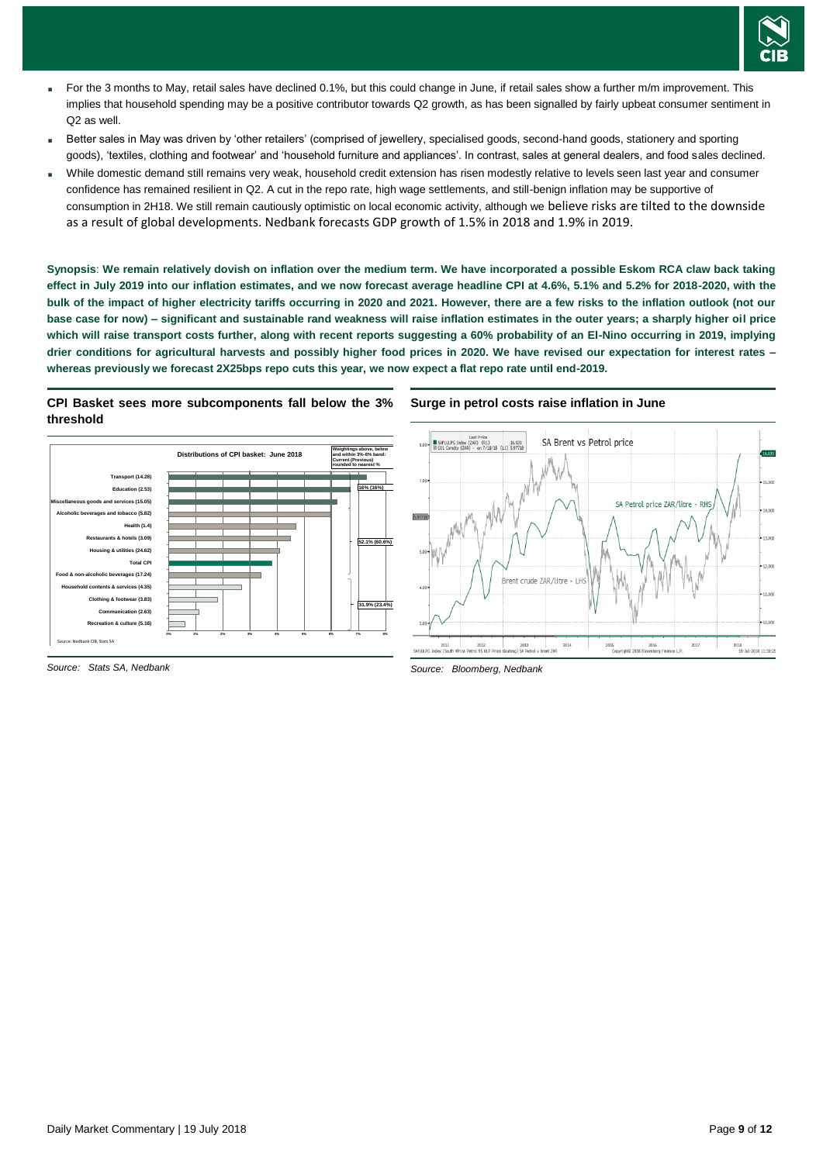

- For the 3 months to May, retail sales have declined 0.1%, but this could change in June, if retail sales show a further m/m improvement. This implies that household spending may be a positive contributor towards Q2 growth, as has been signalled by fairly upbeat consumer sentiment in Q2 as well.
- Better sales in May was driven by 'other retailers' (comprised of jewellery, specialised goods, second-hand goods, stationery and sporting goods), 'textiles, clothing and footwear' and 'household furniture and appliances'. In contrast, sales at general dealers, and food sales declined.
- While domestic demand still remains very weak, household credit extension has risen modestly relative to levels seen last year and consumer confidence has remained resilient in Q2. A cut in the repo rate, high wage settlements, and still-benign inflation may be supportive of consumption in 2H18. We still remain cautiously optimistic on local economic activity, although we believe risks are tilted to the downside as a result of global developments. Nedbank forecasts GDP growth of 1.5% in 2018 and 1.9% in 2019.

**Synopsis**: **We remain relatively dovish on inflation over the medium term. We have incorporated a possible Eskom RCA claw back taking effect in July 2019 into our inflation estimates, and we now forecast average headline CPI at 4.6%, 5.1% and 5.2% for 2018-2020, with the bulk of the impact of higher electricity tariffs occurring in 2020 and 2021. However, there are a few risks to the inflation outlook (not our base case for now) – significant and sustainable rand weakness will raise inflation estimates in the outer years; a sharply higher oil price which will raise transport costs further, along with recent reports suggesting a 60% probability of an El-Nino occurring in 2019, implying drier conditions for agricultural harvests and possibly higher food prices in 2020. We have revised our expectation for interest rates – whereas previously we forecast 2X25bps repo cuts this year, we now expect a flat repo rate until end-2019.**

#### **CPI Basket sees more subcomponents fall below the 3% threshold**



*Source: Stats SA, Nedbank*

#### **Surge in petrol costs raise inflation in June**



*Source: Bloomberg, Nedbank*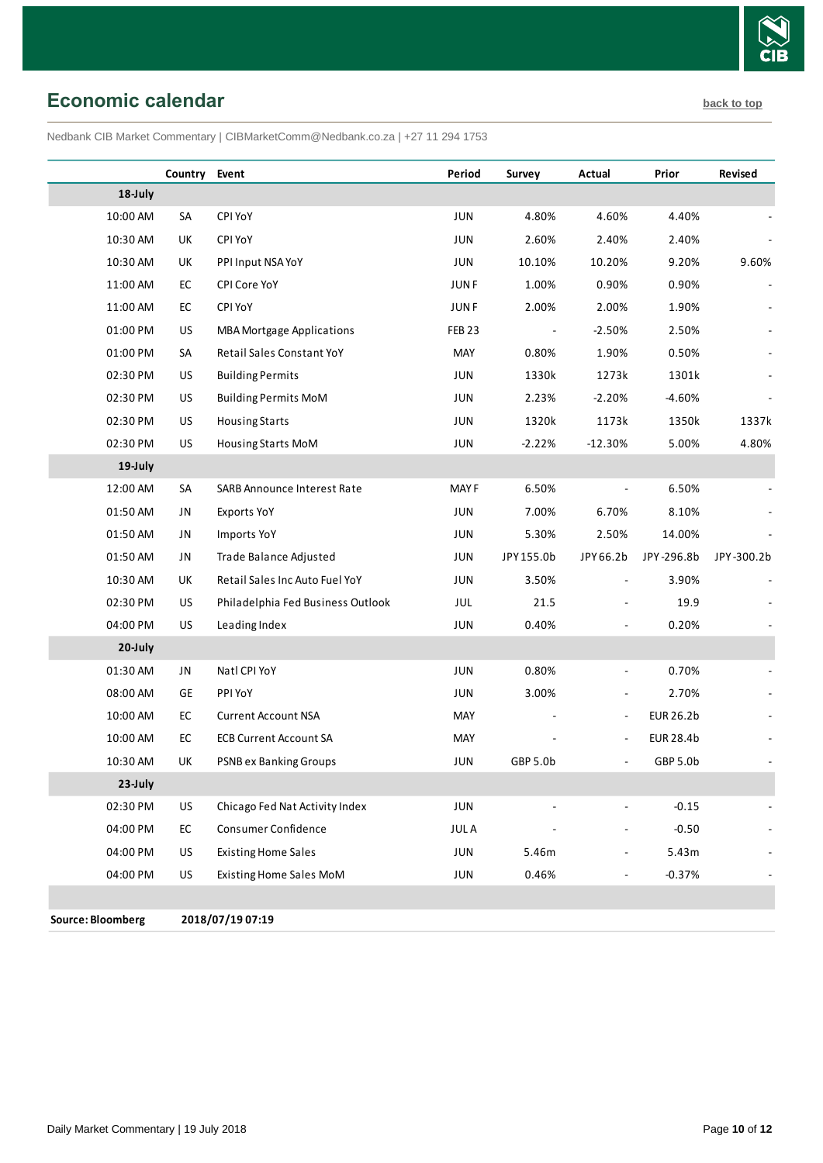

# <span id="page-9-0"></span>**Economic calendar [back to top](#page-0-0)**

Nedbank CIB Market Commentary | CIBMarketComm@Nedbank.co.za | +27 11 294 1753

|          | Country Event |                                    | Period            | Survey     | Actual                   | Prior            | Revised    |
|----------|---------------|------------------------------------|-------------------|------------|--------------------------|------------------|------------|
| 18-July  |               |                                    |                   |            |                          |                  |            |
| 10:00 AM | SA            | CPI YoY                            | JUN               | 4.80%      | 4.60%                    | 4.40%            |            |
| 10:30 AM | UK            | CPI YoY                            | JUN               | 2.60%      | 2.40%                    | 2.40%            |            |
| 10:30 AM | UK            | PPI Input NSA YoY                  | JUN               | 10.10%     | 10.20%                   | 9.20%            | 9.60%      |
| 11:00 AM | EC            | CPI Core YoY                       | <b>JUNF</b>       | 1.00%      | 0.90%                    | 0.90%            |            |
| 11:00 AM | EC            | CPI YoY                            | <b>JUNF</b>       | 2.00%      | 2.00%                    | 1.90%            |            |
| 01:00 PM | US            | <b>MBA Mortgage Applications</b>   | FEB <sub>23</sub> |            | $-2.50%$                 | 2.50%            |            |
| 01:00 PM | SA            | Retail Sales Constant YoY          | MAY               | 0.80%      | 1.90%                    | 0.50%            |            |
| 02:30 PM | <b>US</b>     | <b>Building Permits</b>            | JUN               | 1330k      | 1273k                    | 1301k            |            |
| 02:30 PM | US            | <b>Building Permits MoM</b>        | JUN               | 2.23%      | $-2.20%$                 | $-4.60%$         |            |
| 02:30 PM | US            | <b>Housing Starts</b>              | JUN               | 1320k      | 1173k                    | 1350k            | 1337k      |
| 02:30 PM | US            | Housing Starts MoM                 | JUN               | $-2.22%$   | $-12.30%$                | 5.00%            | 4.80%      |
| 19-July  |               |                                    |                   |            |                          |                  |            |
| 12:00 AM | SA            | <b>SARB Announce Interest Rate</b> | <b>MAYF</b>       | 6.50%      | $\blacksquare$           | 6.50%            |            |
| 01:50 AM | JN            | <b>Exports YoY</b>                 | JUN               | 7.00%      | 6.70%                    | 8.10%            |            |
| 01:50 AM | JN            | <b>Imports YoY</b>                 | JUN               | 5.30%      | 2.50%                    | 14.00%           |            |
| 01:50 AM | JN            | Trade Balance Adjusted             | JUN               | JPY 155.0b | JPY 66.2b                | JPY-296.8b       | JPY-300.2b |
| 10:30 AM | UK            | Retail Sales Inc Auto Fuel YoY     | JUN               | 3.50%      |                          | 3.90%            |            |
| 02:30 PM | <b>US</b>     | Philadelphia Fed Business Outlook  | JUL               | 21.5       |                          | 19.9             |            |
| 04:00 PM | US            | Leading Index                      | JUN               | 0.40%      |                          | 0.20%            |            |
| 20-July  |               |                                    |                   |            |                          |                  |            |
| 01:30 AM | JN            | Natl CPI YoY                       | JUN               | 0.80%      | $\blacksquare$           | 0.70%            |            |
| 08:00 AM | GE            | PPI YoY                            | JUN               | 3.00%      | $\blacksquare$           | 2.70%            |            |
| 10:00 AM | EC            | <b>Current Account NSA</b>         | MAY               |            | $\overline{\phantom{a}}$ | <b>EUR 26.2b</b> |            |
| 10:00 AM | EC            | <b>ECB Current Account SA</b>      | MAY               |            | $\overline{\phantom{a}}$ | <b>EUR 28.4b</b> |            |
| 10:30 AM | UK            | <b>PSNB ex Banking Groups</b>      | JUN               | GBP 5.0b   | ÷,                       | GBP 5.0b         |            |
| 23-July  |               |                                    |                   |            |                          |                  |            |
| 02:30 PM | US            | Chicago Fed Nat Activity Index     | JUN               |            |                          | $-0.15$          |            |
| 04:00 PM | ${\sf EC}$    | Consumer Confidence                | <b>JULA</b>       |            | ÷,                       | $-0.50$          |            |
| 04:00 PM | US            | <b>Existing Home Sales</b>         | JUN               | 5.46m      | $\blacksquare$           | 5.43m            |            |
| 04:00 PM | US            | Existing Home Sales MoM            | JUN               | 0.46%      | $\blacksquare$           | $-0.37%$         |            |
|          |               |                                    |                   |            |                          |                  |            |

**Source: Bloomberg 2018/07/19 07:19**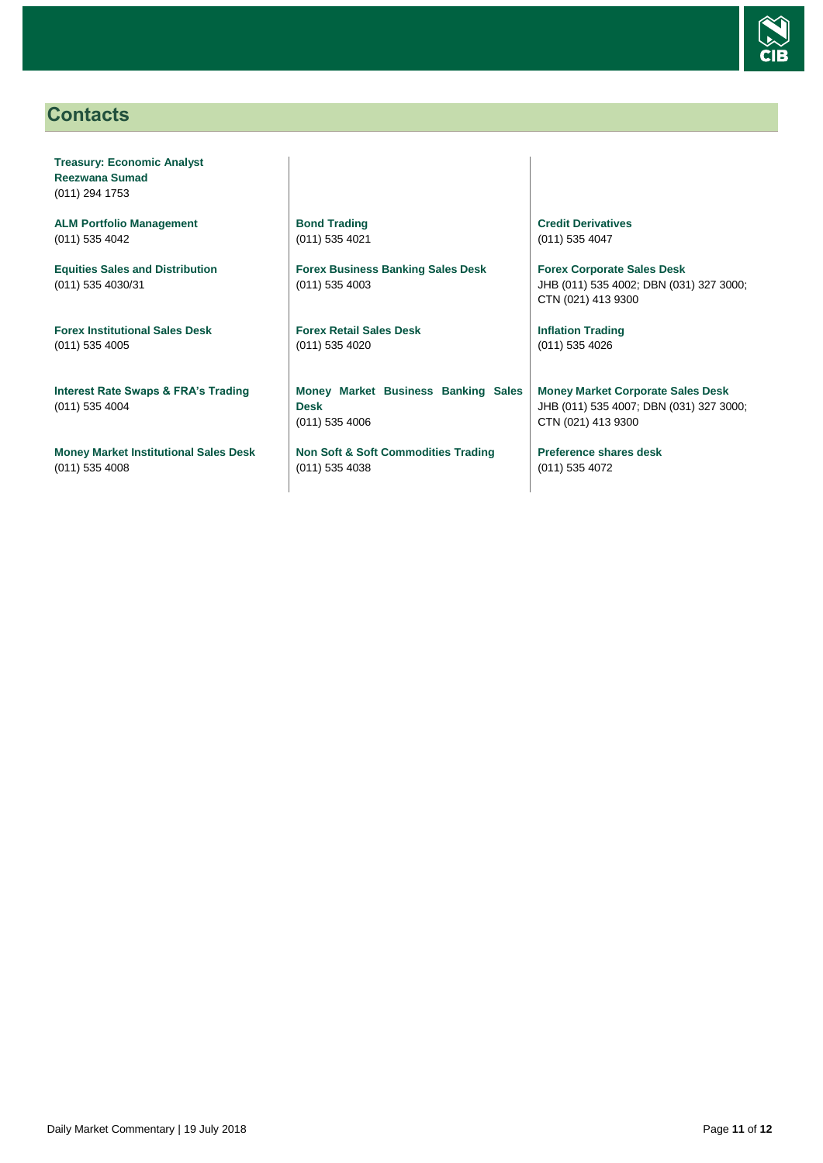

# <span id="page-10-0"></span>**Contacts**

**Treasury: Economic Analyst Reezwana Sumad** (011) 294 1753

**ALM Portfolio Management** (011) 535 4042

**Equities Sales and Distribution** (011) 535 4030/31

**Forex Institutional Sales Desk** (011) 535 4005

**Interest Rate Swaps & FRA's Trading** (011) 535 4004

**Money Market Institutional Sales Desk** (011) 535 4008

**Bond Trading** (011) 535 4021

**Forex Business Banking Sales Desk** (011) 535 4003

**Forex Retail Sales Desk** (011) 535 4020

**Money Market Business Banking Sales Desk** (011) 535 4006

**Non Soft & Soft Commodities Trading** (011) 535 4038

**Credit Derivatives**  (011) 535 4047

**Forex Corporate Sales Desk** JHB (011) 535 4002; DBN (031) 327 3000; CTN (021) 413 9300

**Inflation Trading** (011) 535 4026

**Money Market Corporate Sales Desk** JHB (011) 535 4007; DBN (031) 327 3000; CTN (021) 413 9300

**Preference shares desk** (011) 535 4072